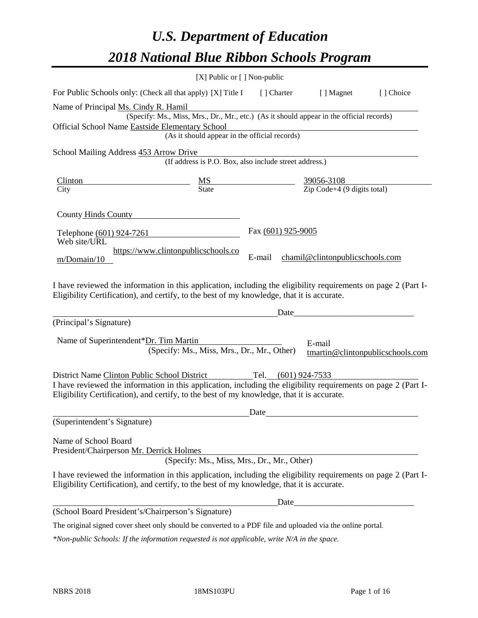# *U.S. Department of Education 2018 National Blue Ribbon Schools Program*

|                                                                                                                                                                                                              | [X] Public or [] Non-public                                                                                                               |                     |                                                                                                                       |                                  |
|--------------------------------------------------------------------------------------------------------------------------------------------------------------------------------------------------------------|-------------------------------------------------------------------------------------------------------------------------------------------|---------------------|-----------------------------------------------------------------------------------------------------------------------|----------------------------------|
| For Public Schools only: (Check all that apply) [X] Title I                                                                                                                                                  |                                                                                                                                           |                     | [] Charter [] Magnet                                                                                                  | [] Choice                        |
| Name of Principal Ms. Cindy R. Hamil<br>Official School Name Eastside Elementary School                                                                                                                      | (Specify: Ms., Miss, Mrs., Dr., Mr., etc.) (As it should appear in the official records)<br>(As it should appear in the official records) |                     | <u> 1989 - Johann Stoff, deutscher Stoff, der Stoff, der Stoff, der Stoff, der Stoff, der Stoff, der Stoff, der S</u> |                                  |
| School Mailing Address 453 Arrow Drive                                                                                                                                                                       | (If address is P.O. Box, also include street address.)                                                                                    |                     |                                                                                                                       |                                  |
| Clinton<br>City                                                                                                                                                                                              | MS<br>State                                                                                                                               |                     | $\frac{39056-3108}{\text{Zip Code}+4 (9 digits total)}$                                                               |                                  |
| County Hinds County                                                                                                                                                                                          |                                                                                                                                           |                     |                                                                                                                       |                                  |
| Telephone (601) 924-7261<br>Web site/URL                                                                                                                                                                     |                                                                                                                                           | Fax (601) 925-9005  |                                                                                                                       |                                  |
| m/Domain/10                                                                                                                                                                                                  | https://www.clintonpublicschools.co                                                                                                       | E-mail              | chamil@clintonpublicschools.com                                                                                       |                                  |
| I have reviewed the information in this application, including the eligibility requirements on page 2 (Part I-<br>Eligibility Certification), and certify, to the best of my knowledge, that it is accurate. |                                                                                                                                           |                     |                                                                                                                       |                                  |
| (Principal's Signature)                                                                                                                                                                                      |                                                                                                                                           | Date                |                                                                                                                       |                                  |
| Name of Superintendent*Dr. Tim Martin<br>District Name Clinton Public School District                                                                                                                        | (Specify: Ms., Miss, Mrs., Dr., Mr., Other)                                                                                               | Tel. (601) 924-7533 | E-mail                                                                                                                | tmartin@clintonpublicschools.com |
| I have reviewed the information in this application, including the eligibility requirements on page 2 (Part I-<br>Eligibility Certification), and certify, to the best of my knowledge, that it is accurate. |                                                                                                                                           |                     |                                                                                                                       |                                  |
|                                                                                                                                                                                                              |                                                                                                                                           | Date                |                                                                                                                       |                                  |
| (Superintendent's Signature)                                                                                                                                                                                 |                                                                                                                                           |                     |                                                                                                                       |                                  |
| Name of School Board<br>President/Chairperson Mr. Derrick Holmes                                                                                                                                             | (Specify: Ms., Miss, Mrs., Dr., Mr., Other)                                                                                               |                     |                                                                                                                       |                                  |
| I have reviewed the information in this application, including the eligibility requirements on page 2 (Part I-<br>Eligibility Certification), and certify, to the best of my knowledge, that it is accurate. |                                                                                                                                           |                     |                                                                                                                       |                                  |
|                                                                                                                                                                                                              |                                                                                                                                           | Date_               |                                                                                                                       |                                  |
| (School Board President's/Chairperson's Signature)                                                                                                                                                           |                                                                                                                                           |                     |                                                                                                                       |                                  |
| The original signed cover sheet only should be converted to a PDF file and uploaded via the online portal.                                                                                                   |                                                                                                                                           |                     |                                                                                                                       |                                  |

*\*Non-public Schools: If the information requested is not applicable, write N/A in the space.*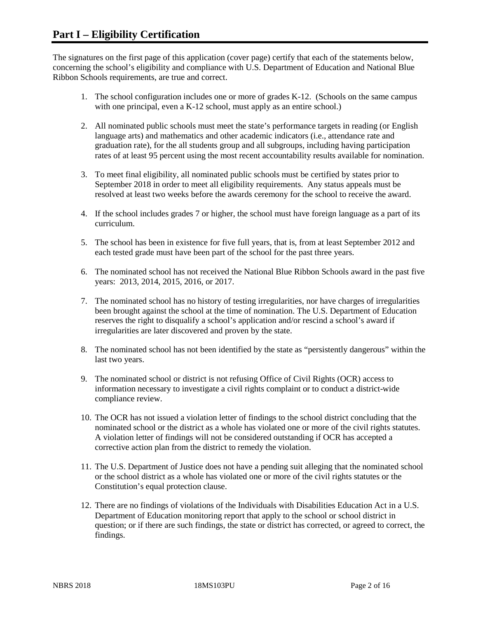The signatures on the first page of this application (cover page) certify that each of the statements below, concerning the school's eligibility and compliance with U.S. Department of Education and National Blue Ribbon Schools requirements, are true and correct.

- 1. The school configuration includes one or more of grades K-12. (Schools on the same campus with one principal, even a K-12 school, must apply as an entire school.)
- 2. All nominated public schools must meet the state's performance targets in reading (or English language arts) and mathematics and other academic indicators (i.e., attendance rate and graduation rate), for the all students group and all subgroups, including having participation rates of at least 95 percent using the most recent accountability results available for nomination.
- 3. To meet final eligibility, all nominated public schools must be certified by states prior to September 2018 in order to meet all eligibility requirements. Any status appeals must be resolved at least two weeks before the awards ceremony for the school to receive the award.
- 4. If the school includes grades 7 or higher, the school must have foreign language as a part of its curriculum.
- 5. The school has been in existence for five full years, that is, from at least September 2012 and each tested grade must have been part of the school for the past three years.
- 6. The nominated school has not received the National Blue Ribbon Schools award in the past five years: 2013, 2014, 2015, 2016, or 2017.
- 7. The nominated school has no history of testing irregularities, nor have charges of irregularities been brought against the school at the time of nomination. The U.S. Department of Education reserves the right to disqualify a school's application and/or rescind a school's award if irregularities are later discovered and proven by the state.
- 8. The nominated school has not been identified by the state as "persistently dangerous" within the last two years.
- 9. The nominated school or district is not refusing Office of Civil Rights (OCR) access to information necessary to investigate a civil rights complaint or to conduct a district-wide compliance review.
- 10. The OCR has not issued a violation letter of findings to the school district concluding that the nominated school or the district as a whole has violated one or more of the civil rights statutes. A violation letter of findings will not be considered outstanding if OCR has accepted a corrective action plan from the district to remedy the violation.
- 11. The U.S. Department of Justice does not have a pending suit alleging that the nominated school or the school district as a whole has violated one or more of the civil rights statutes or the Constitution's equal protection clause.
- 12. There are no findings of violations of the Individuals with Disabilities Education Act in a U.S. Department of Education monitoring report that apply to the school or school district in question; or if there are such findings, the state or district has corrected, or agreed to correct, the findings.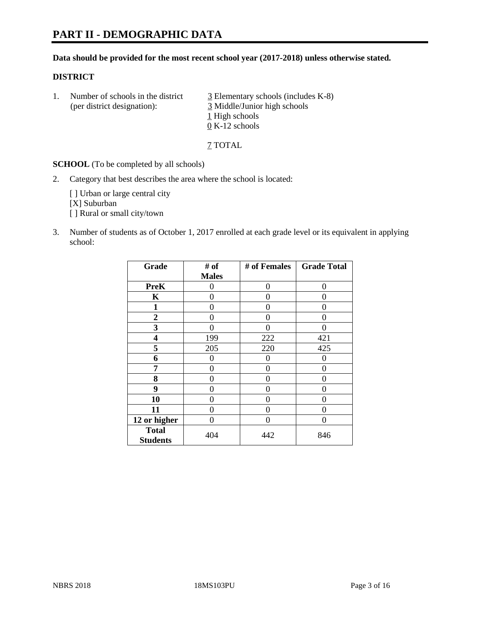## **Data should be provided for the most recent school year (2017-2018) unless otherwise stated.**

# **DISTRICT**

1. Number of schools in the district  $\frac{3}{2}$  Elementary schools (includes K-8) (per district designation): 3 Middle/Junior high schools 1 High schools 0 K-12 schools

7 TOTAL

**SCHOOL** (To be completed by all schools)

2. Category that best describes the area where the school is located:

[] Urban or large central city [X] Suburban [] Rural or small city/town

3. Number of students as of October 1, 2017 enrolled at each grade level or its equivalent in applying school:

| Grade                           | # of         | # of Females | <b>Grade Total</b> |
|---------------------------------|--------------|--------------|--------------------|
|                                 | <b>Males</b> |              |                    |
| <b>PreK</b>                     | 0            | 0            | 0                  |
| K                               | 0            | 0            | 0                  |
| 1                               | 0            | 0            | 0                  |
| 2                               | 0            | 0            | 0                  |
| 3                               | 0            | 0            | 0                  |
| 4                               | 199          | 222          | 421                |
| 5                               | 205          | 220          | 425                |
| 6                               | 0            | 0            | 0                  |
| 7                               | 0            | 0            | 0                  |
| 8                               | 0            | 0            | 0                  |
| 9                               | 0            | 0            | 0                  |
| 10                              | 0            | 0            | 0                  |
| 11                              | 0            | 0            | 0                  |
| 12 or higher                    | 0            | 0            | 0                  |
| <b>Total</b><br><b>Students</b> | 404          | 442          | 846                |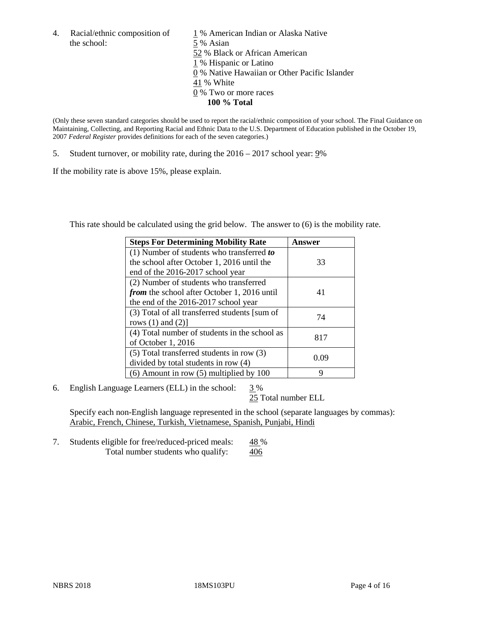the school: 5 % Asian

4. Racial/ethnic composition of  $1\%$  American Indian or Alaska Native 52 % Black or African American 1 % Hispanic or Latino 0 % Native Hawaiian or Other Pacific Islander 41 % White 0 % Two or more races **100 % Total**

(Only these seven standard categories should be used to report the racial/ethnic composition of your school. The Final Guidance on Maintaining, Collecting, and Reporting Racial and Ethnic Data to the U.S. Department of Education published in the October 19, 2007 *Federal Register* provides definitions for each of the seven categories.)

5. Student turnover, or mobility rate, during the 2016 – 2017 school year: 9%

If the mobility rate is above 15%, please explain.

This rate should be calculated using the grid below. The answer to (6) is the mobility rate.

| <b>Steps For Determining Mobility Rate</b>         | Answer |
|----------------------------------------------------|--------|
| $(1)$ Number of students who transferred to        |        |
| the school after October 1, 2016 until the         | 33     |
| end of the 2016-2017 school year                   |        |
| (2) Number of students who transferred             |        |
| <i>from</i> the school after October 1, 2016 until | 41     |
| the end of the 2016-2017 school year               |        |
| (3) Total of all transferred students [sum of      | 74     |
| rows $(1)$ and $(2)$ ]                             |        |
| (4) Total number of students in the school as      |        |
| of October 1, 2016                                 | 817    |
| (5) Total transferred students in row (3)          |        |
| divided by total students in row (4)               | 0.09   |
| $(6)$ Amount in row $(5)$ multiplied by 100        | 9      |

6. English Language Learners (ELL) in the school:  $3\%$ 

25 Total number ELL

Specify each non-English language represented in the school (separate languages by commas): Arabic, French, Chinese, Turkish, Vietnamese, Spanish, Punjabi, Hindi

7. Students eligible for free/reduced-priced meals: 48 % Total number students who qualify:  $406$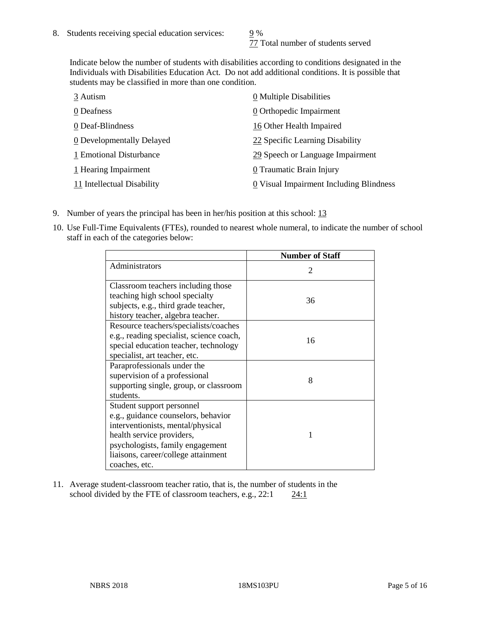77 Total number of students served

Indicate below the number of students with disabilities according to conditions designated in the Individuals with Disabilities Education Act. Do not add additional conditions. It is possible that students may be classified in more than one condition.

| 3 Autism                   | $\underline{0}$ Multiple Disabilities                 |
|----------------------------|-------------------------------------------------------|
| 0 Deafness                 | 0 Orthopedic Impairment                               |
| 0 Deaf-Blindness           | 16 Other Health Impaired                              |
| 0 Developmentally Delayed  | 22 Specific Learning Disability                       |
| 1 Emotional Disturbance    | 29 Speech or Language Impairment                      |
| 1 Hearing Impairment       | 0 Traumatic Brain Injury                              |
| 11 Intellectual Disability | $\underline{0}$ Visual Impairment Including Blindness |

- 9. Number of years the principal has been in her/his position at this school: 13
- 10. Use Full-Time Equivalents (FTEs), rounded to nearest whole numeral, to indicate the number of school staff in each of the categories below:

|                                                                                                                                                                                                                                | <b>Number of Staff</b>      |
|--------------------------------------------------------------------------------------------------------------------------------------------------------------------------------------------------------------------------------|-----------------------------|
| Administrators                                                                                                                                                                                                                 | $\mathcal{D}_{\mathcal{L}}$ |
| Classroom teachers including those<br>teaching high school specialty<br>subjects, e.g., third grade teacher,<br>history teacher, algebra teacher.                                                                              | 36                          |
| Resource teachers/specialists/coaches<br>e.g., reading specialist, science coach,<br>special education teacher, technology<br>specialist, art teacher, etc.                                                                    | 16                          |
| Paraprofessionals under the<br>supervision of a professional<br>supporting single, group, or classroom<br>students.                                                                                                            | 8                           |
| Student support personnel<br>e.g., guidance counselors, behavior<br>interventionists, mental/physical<br>health service providers,<br>psychologists, family engagement<br>liaisons, career/college attainment<br>coaches, etc. | 1                           |

11. Average student-classroom teacher ratio, that is, the number of students in the school divided by the FTE of classroom teachers, e.g.,  $22:1$  24:1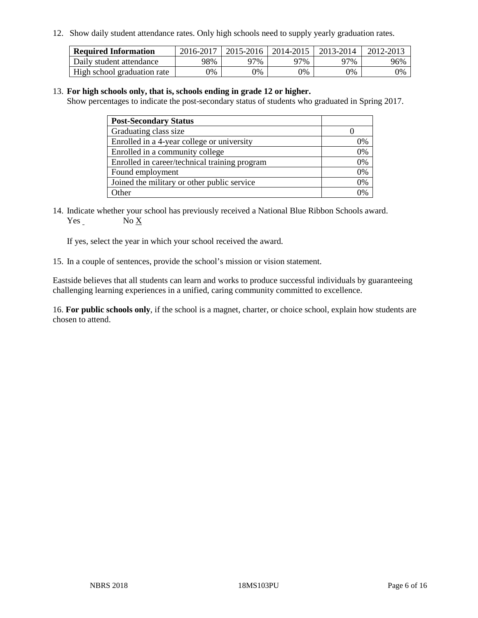12. Show daily student attendance rates. Only high schools need to supply yearly graduation rates.

| <b>Required Information</b> | 2016-2017 | $2015 - 2016$ | 2014-2015 | 2013-2014 | 2012-2013 |
|-----------------------------|-----------|---------------|-----------|-----------|-----------|
| Daily student attendance    | 98%       | 97%           | 97%       | ว7%       | 96%       |
| High school graduation rate | 0%        | 0%            | 0%        | 9%        | 0%        |

#### 13. **For high schools only, that is, schools ending in grade 12 or higher.**

Show percentages to indicate the post-secondary status of students who graduated in Spring 2017.

| <b>Post-Secondary Status</b>                  |              |
|-----------------------------------------------|--------------|
| Graduating class size                         |              |
| Enrolled in a 4-year college or university    | 0%           |
| Enrolled in a community college               | 0%           |
| Enrolled in career/technical training program | 0%           |
| Found employment                              | 0%           |
| Joined the military or other public service   | 0%           |
| Other                                         | $\gamma_{0}$ |

14. Indicate whether your school has previously received a National Blue Ribbon Schools award. Yes No X

If yes, select the year in which your school received the award.

15. In a couple of sentences, provide the school's mission or vision statement.

Eastside believes that all students can learn and works to produce successful individuals by guaranteeing challenging learning experiences in a unified, caring community committed to excellence.

16. **For public schools only**, if the school is a magnet, charter, or choice school, explain how students are chosen to attend.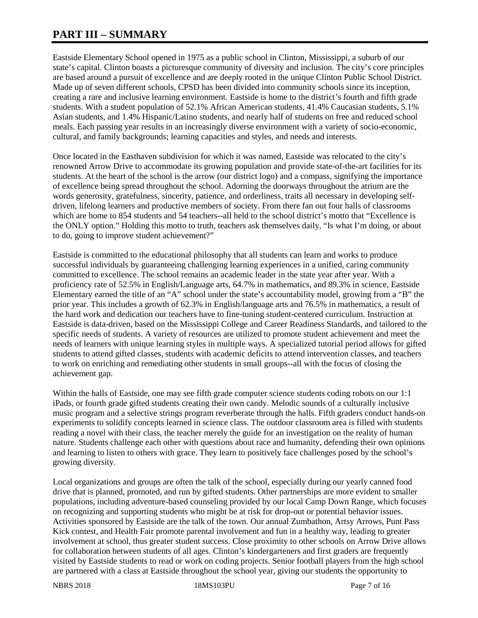# **PART III – SUMMARY**

Eastside Elementary School opened in 1975 as a public school in Clinton, Mississippi, a suburb of our state's capital. Clinton boasts a picturesque community of diversity and inclusion. The city's core principles are based around a pursuit of excellence and are deeply rooted in the unique Clinton Public School District. Made up of seven different schools, CPSD has been divided into community schools since its inception, creating a rare and inclusive learning environment. Eastside is home to the district's fourth and fifth grade students. With a student population of 52.1% African American students, 41.4% Caucasian students, 5.1% Asian students, and 1.4% Hispanic/Latino students, and nearly half of students on free and reduced school meals. Each passing year results in an increasingly diverse environment with a variety of socio-economic, cultural, and family backgrounds; learning capacities and styles, and needs and interests.

Once located in the Easthaven subdivision for which it was named, Eastside was relocated to the city's renowned Arrow Drive to accommodate its growing population and provide state-of-the-art facilities for its students. At the heart of the school is the arrow (our district logo) and a compass, signifying the importance of excellence being spread throughout the school. Adorning the doorways throughout the atrium are the words generosity, gratefulness, sincerity, patience, and orderliness, traits all necessary in developing selfdriven, lifelong learners and productive members of society. From there fan out four halls of classrooms which are home to 854 students and 54 teachers--all held to the school district's motto that "Excellence is the ONLY option." Holding this motto to truth, teachers ask themselves daily, "Is what I'm doing, or about to do, going to improve student achievement?"

Eastside is committed to the educational philosophy that all students can learn and works to produce successful individuals by guaranteeing challenging learning experiences in a unified, caring community committed to excellence. The school remains an academic leader in the state year after year. With a proficiency rate of 52.5% in English/Language arts, 64.7% in mathematics, and 89.3% in science, Eastside Elementary earned the title of an "A" school under the state's accountability model, growing from a "B" the prior year. This includes a growth of 62.3% in English/language arts and 76.5% in mathematics, a result of the hard work and dedication our teachers have to fine-tuning student-centered curriculum. Instruction at Eastside is data-driven, based on the Mississippi College and Career Readiness Standards, and tailored to the specific needs of students. A variety of resources are utilized to promote student achievement and meet the needs of learners with unique learning styles in multiple ways. A specialized tutorial period allows for gifted students to attend gifted classes, students with academic deficits to attend intervention classes, and teachers to work on enriching and remediating other students in small groups--all with the focus of closing the achievement gap.

Within the halls of Eastside, one may see fifth grade computer science students coding robots on our 1:1 iPads, or fourth grade gifted students creating their own candy. Melodic sounds of a culturally inclusive music program and a selective strings program reverberate through the halls. Fifth graders conduct hands-on experiments to solidify concepts learned in science class. The outdoor classroom area is filled with students reading a novel with their class, the teacher merely the guide for an investigation on the reality of human nature. Students challenge each other with questions about race and humanity, defending their own opinions and learning to listen to others with grace. They learn to positively face challenges posed by the school's growing diversity.

Local organizations and groups are often the talk of the school, especially during our yearly canned food drive that is planned, promoted, and run by gifted students. Other partnerships are more evident to smaller populations, including adventure-based counseling provided by our local Camp Down Range, which focuses on recognizing and supporting students who might be at risk for drop-out or potential behavior issues. Activities sponsored by Eastside are the talk of the town. Our annual Zumbathon, Artsy Arrows, Punt Pass Kick contest, and Health Fair promote parental involvement and fun in a healthy way, leading to greater involvement at school, thus greater student success. Close proximity to other schools on Arrow Drive allows for collaboration between students of all ages. Clinton's kindergarteners and first graders are frequently visited by Eastside students to read or work on coding projects. Senior football players from the high school are partnered with a class at Eastside throughout the school year, giving our students the opportunity to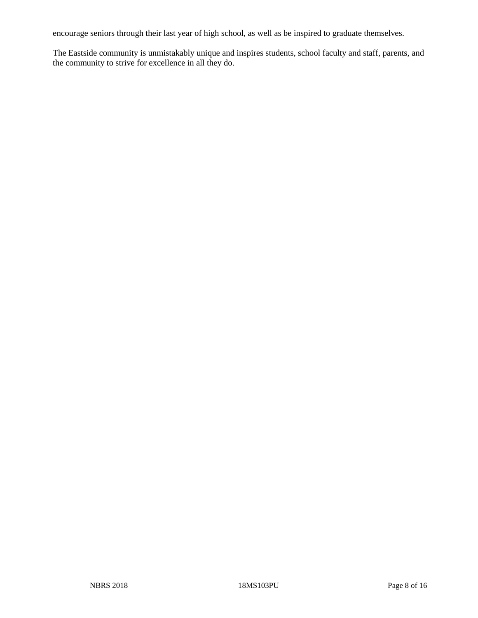encourage seniors through their last year of high school, as well as be inspired to graduate themselves.

The Eastside community is unmistakably unique and inspires students, school faculty and staff, parents, and the community to strive for excellence in all they do.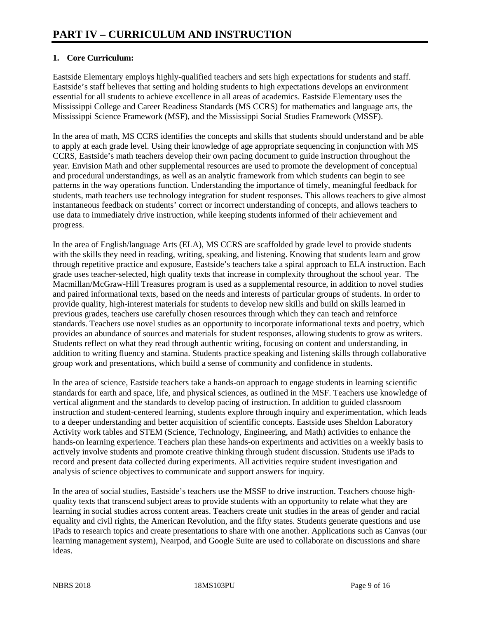# **1. Core Curriculum:**

Eastside Elementary employs highly-qualified teachers and sets high expectations for students and staff. Eastside's staff believes that setting and holding students to high expectations develops an environment essential for all students to achieve excellence in all areas of academics. Eastside Elementary uses the Mississippi College and Career Readiness Standards (MS CCRS) for mathematics and language arts, the Mississippi Science Framework (MSF), and the Mississippi Social Studies Framework (MSSF).

In the area of math, MS CCRS identifies the concepts and skills that students should understand and be able to apply at each grade level. Using their knowledge of age appropriate sequencing in conjunction with MS CCRS, Eastside's math teachers develop their own pacing document to guide instruction throughout the year. Envision Math and other supplemental resources are used to promote the development of conceptual and procedural understandings, as well as an analytic framework from which students can begin to see patterns in the way operations function. Understanding the importance of timely, meaningful feedback for students, math teachers use technology integration for student responses. This allows teachers to give almost instantaneous feedback on students' correct or incorrect understanding of concepts, and allows teachers to use data to immediately drive instruction, while keeping students informed of their achievement and progress.

In the area of English/language Arts (ELA), MS CCRS are scaffolded by grade level to provide students with the skills they need in reading, writing, speaking, and listening. Knowing that students learn and grow through repetitive practice and exposure, Eastside's teachers take a spiral approach to ELA instruction. Each grade uses teacher-selected, high quality texts that increase in complexity throughout the school year. The Macmillan/McGraw-Hill Treasures program is used as a supplemental resource, in addition to novel studies and paired informational texts, based on the needs and interests of particular groups of students. In order to provide quality, high-interest materials for students to develop new skills and build on skills learned in previous grades, teachers use carefully chosen resources through which they can teach and reinforce standards. Teachers use novel studies as an opportunity to incorporate informational texts and poetry, which provides an abundance of sources and materials for student responses, allowing students to grow as writers. Students reflect on what they read through authentic writing, focusing on content and understanding, in addition to writing fluency and stamina. Students practice speaking and listening skills through collaborative group work and presentations, which build a sense of community and confidence in students.

In the area of science, Eastside teachers take a hands-on approach to engage students in learning scientific standards for earth and space, life, and physical sciences, as outlined in the MSF. Teachers use knowledge of vertical alignment and the standards to develop pacing of instruction. In addition to guided classroom instruction and student-centered learning, students explore through inquiry and experimentation, which leads to a deeper understanding and better acquisition of scientific concepts. Eastside uses Sheldon Laboratory Activity work tables and STEM (Science, Technology, Engineering, and Math) activities to enhance the hands-on learning experience. Teachers plan these hands-on experiments and activities on a weekly basis to actively involve students and promote creative thinking through student discussion. Students use iPads to record and present data collected during experiments. All activities require student investigation and analysis of science objectives to communicate and support answers for inquiry.

In the area of social studies, Eastside's teachers use the MSSF to drive instruction. Teachers choose highquality texts that transcend subject areas to provide students with an opportunity to relate what they are learning in social studies across content areas. Teachers create unit studies in the areas of gender and racial equality and civil rights, the American Revolution, and the fifty states. Students generate questions and use iPads to research topics and create presentations to share with one another. Applications such as Canvas (our learning management system), Nearpod, and Google Suite are used to collaborate on discussions and share ideas.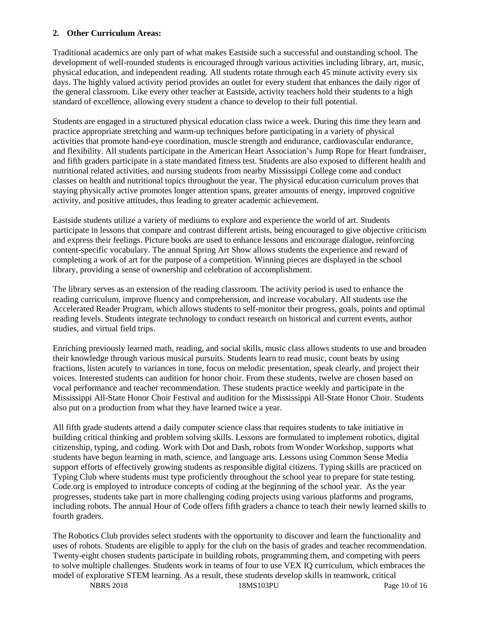## **2. Other Curriculum Areas:**

Traditional academics are only part of what makes Eastside such a successful and outstanding school. The development of well-rounded students is encouraged through various activities including library, art, music, physical education, and independent reading. All students rotate through each 45 minute activity every six days. The highly valued activity period provides an outlet for every student that enhances the daily rigor of the general classroom. Like every other teacher at Eastside, activity teachers hold their students to a high standard of excellence, allowing every student a chance to develop to their full potential.

Students are engaged in a structured physical education class twice a week. During this time they learn and practice appropriate stretching and warm-up techniques before participating in a variety of physical activities that promote hand-eye coordination, muscle strength and endurance, cardiovascular endurance, and flexibility. All students participate in the American Heart Association's Jump Rope for Heart fundraiser, and fifth graders participate in a state mandated fitness test. Students are also exposed to different health and nutritional related activities, and nursing students from nearby Mississippi College come and conduct classes on health and nutritional topics throughout the year. The physical education curriculum proves that staying physically active promotes longer attention spans, greater amounts of energy, improved cognitive activity, and positive attitudes, thus leading to greater academic achievement.

Eastside students utilize a variety of mediums to explore and experience the world of art. Students participate in lessons that compare and contrast different artists, being encouraged to give objective criticism and express their feelings. Picture books are used to enhance lessons and encourage dialogue, reinforcing content-specific vocabulary. The annual Spring Art Show allows students the experience and reward of completing a work of art for the purpose of a competition. Winning pieces are displayed in the school library, providing a sense of ownership and celebration of accomplishment.

The library serves as an extension of the reading classroom. The activity period is used to enhance the reading curriculum, improve fluency and comprehension, and increase vocabulary. All students use the Accelerated Reader Program, which allows students to self-monitor their progress, goals, points and optimal reading levels. Students integrate technology to conduct research on historical and current events, author studies, and virtual field trips.

Enriching previously learned math, reading, and social skills, music class allows students to use and broaden their knowledge through various musical pursuits. Students learn to read music, count beats by using fractions, listen acutely to variances in tone, focus on melodic presentation, speak clearly, and project their voices. Interested students can audition for honor choir. From these students, twelve are chosen based on vocal performance and teacher recommendation. These students practice weekly and participate in the Mississippi All-State Honor Choir Festival and audition for the Mississippi All-State Honor Choir. Students also put on a production from what they have learned twice a year.

All fifth grade students attend a daily computer science class that requires students to take initiative in building critical thinking and problem solving skills. Lessons are formulated to implement robotics, digital citizenship, typing, and coding. Work with Dot and Dash, robots from Wonder Workshop, supports what students have begun learning in math, science, and language arts. Lessons using Common Sense Media support efforts of effectively growing students as responsible digital citizens. Typing skills are practiced on Typing Club where students must type proficiently throughout the school year to prepare for state testing. Code.org is employed to introduce concepts of coding at the beginning of the school year. As the year progresses, students take part in more challenging coding projects using various platforms and programs, including robots. The annual Hour of Code offers fifth graders a chance to teach their newly learned skills to fourth graders.

NBRS 2018 18MS103PU Page 10 of 16 The Robotics Club provides select students with the opportunity to discover and learn the functionality and uses of robots. Students are eligible to apply for the club on the basis of grades and teacher recommendation. Twenty-eight chosen students participate in building robots, programming them, and competing with peers to solve multiple challenges. Students work in teams of four to use VEX IQ curriculum, which embraces the model of explorative STEM learning. As a result, these students develop skills in teamwork, critical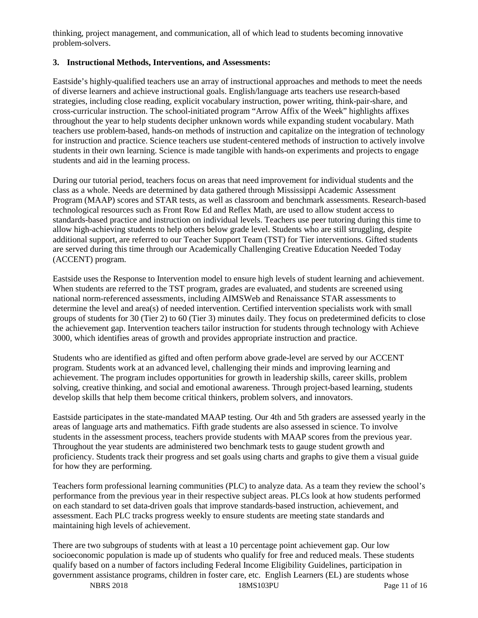thinking, project management, and communication, all of which lead to students becoming innovative problem-solvers.

# **3. Instructional Methods, Interventions, and Assessments:**

Eastside's highly-qualified teachers use an array of instructional approaches and methods to meet the needs of diverse learners and achieve instructional goals. English/language arts teachers use research-based strategies, including close reading, explicit vocabulary instruction, power writing, think-pair-share, and cross-curricular instruction. The school-initiated program "Arrow Affix of the Week" highlights affixes throughout the year to help students decipher unknown words while expanding student vocabulary. Math teachers use problem-based, hands-on methods of instruction and capitalize on the integration of technology for instruction and practice. Science teachers use student-centered methods of instruction to actively involve students in their own learning. Science is made tangible with hands-on experiments and projects to engage students and aid in the learning process.

During our tutorial period, teachers focus on areas that need improvement for individual students and the class as a whole. Needs are determined by data gathered through Mississippi Academic Assessment Program (MAAP) scores and STAR tests, as well as classroom and benchmark assessments. Research-based technological resources such as Front Row Ed and Reflex Math, are used to allow student access to standards-based practice and instruction on individual levels. Teachers use peer tutoring during this time to allow high-achieving students to help others below grade level. Students who are still struggling, despite additional support, are referred to our Teacher Support Team (TST) for Tier interventions. Gifted students are served during this time through our Academically Challenging Creative Education Needed Today (ACCENT) program.

Eastside uses the Response to Intervention model to ensure high levels of student learning and achievement. When students are referred to the TST program, grades are evaluated, and students are screened using national norm-referenced assessments, including AIMSWeb and Renaissance STAR assessments to determine the level and area(s) of needed intervention. Certified intervention specialists work with small groups of students for 30 (Tier 2) to 60 (Tier 3) minutes daily. They focus on predetermined deficits to close the achievement gap. Intervention teachers tailor instruction for students through technology with Achieve 3000, which identifies areas of growth and provides appropriate instruction and practice.

Students who are identified as gifted and often perform above grade-level are served by our ACCENT program. Students work at an advanced level, challenging their minds and improving learning and achievement. The program includes opportunities for growth in leadership skills, career skills, problem solving, creative thinking, and social and emotional awareness. Through project-based learning, students develop skills that help them become critical thinkers, problem solvers, and innovators.

Eastside participates in the state-mandated MAAP testing. Our 4th and 5th graders are assessed yearly in the areas of language arts and mathematics. Fifth grade students are also assessed in science. To involve students in the assessment process, teachers provide students with MAAP scores from the previous year. Throughout the year students are administered two benchmark tests to gauge student growth and proficiency. Students track their progress and set goals using charts and graphs to give them a visual guide for how they are performing.

Teachers form professional learning communities (PLC) to analyze data. As a team they review the school's performance from the previous year in their respective subject areas. PLCs look at how students performed on each standard to set data-driven goals that improve standards-based instruction, achievement, and assessment. Each PLC tracks progress weekly to ensure students are meeting state standards and maintaining high levels of achievement.

There are two subgroups of students with at least a 10 percentage point achievement gap. Our low socioeconomic population is made up of students who qualify for free and reduced meals. These students qualify based on a number of factors including Federal Income Eligibility Guidelines, participation in government assistance programs, children in foster care, etc. English Learners (EL) are students whose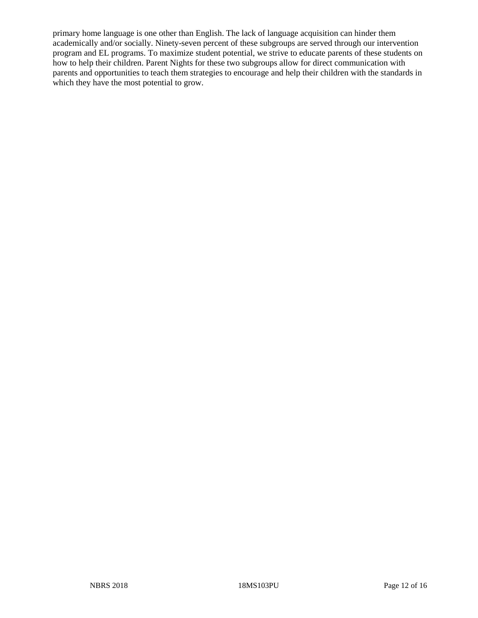primary home language is one other than English. The lack of language acquisition can hinder them academically and/or socially. Ninety-seven percent of these subgroups are served through our intervention program and EL programs. To maximize student potential, we strive to educate parents of these students on how to help their children. Parent Nights for these two subgroups allow for direct communication with parents and opportunities to teach them strategies to encourage and help their children with the standards in which they have the most potential to grow.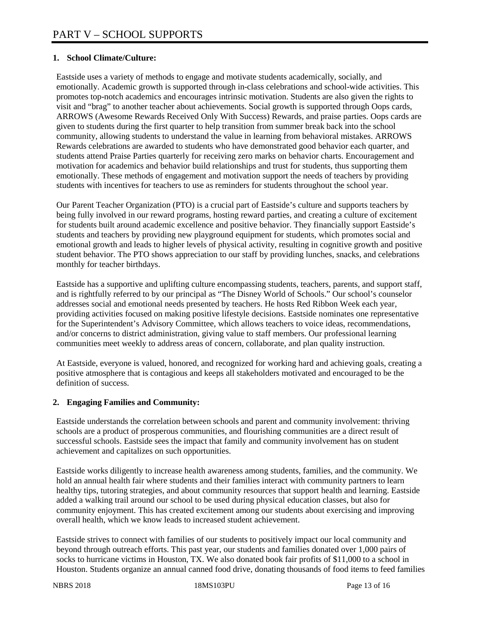# **1. School Climate/Culture:**

Eastside uses a variety of methods to engage and motivate students academically, socially, and emotionally. Academic growth is supported through in-class celebrations and school-wide activities. This promotes top-notch academics and encourages intrinsic motivation. Students are also given the rights to visit and "brag" to another teacher about achievements. Social growth is supported through Oops cards, ARROWS (Awesome Rewards Received Only With Success) Rewards, and praise parties. Oops cards are given to students during the first quarter to help transition from summer break back into the school community, allowing students to understand the value in learning from behavioral mistakes. ARROWS Rewards celebrations are awarded to students who have demonstrated good behavior each quarter, and students attend Praise Parties quarterly for receiving zero marks on behavior charts. Encouragement and motivation for academics and behavior build relationships and trust for students, thus supporting them emotionally. These methods of engagement and motivation support the needs of teachers by providing students with incentives for teachers to use as reminders for students throughout the school year.

Our Parent Teacher Organization (PTO) is a crucial part of Eastside's culture and supports teachers by being fully involved in our reward programs, hosting reward parties, and creating a culture of excitement for students built around academic excellence and positive behavior. They financially support Eastside's students and teachers by providing new playground equipment for students, which promotes social and emotional growth and leads to higher levels of physical activity, resulting in cognitive growth and positive student behavior. The PTO shows appreciation to our staff by providing lunches, snacks, and celebrations monthly for teacher birthdays.

Eastside has a supportive and uplifting culture encompassing students, teachers, parents, and support staff, and is rightfully referred to by our principal as "The Disney World of Schools." Our school's counselor addresses social and emotional needs presented by teachers. He hosts Red Ribbon Week each year, providing activities focused on making positive lifestyle decisions. Eastside nominates one representative for the Superintendent's Advisory Committee, which allows teachers to voice ideas, recommendations, and/or concerns to district administration, giving value to staff members. Our professional learning communities meet weekly to address areas of concern, collaborate, and plan quality instruction.

At Eastside, everyone is valued, honored, and recognized for working hard and achieving goals, creating a positive atmosphere that is contagious and keeps all stakeholders motivated and encouraged to be the definition of success.

#### **2. Engaging Families and Community:**

Eastside understands the correlation between schools and parent and community involvement: thriving schools are a product of prosperous communities, and flourishing communities are a direct result of successful schools. Eastside sees the impact that family and community involvement has on student achievement and capitalizes on such opportunities.

Eastside works diligently to increase health awareness among students, families, and the community. We hold an annual health fair where students and their families interact with community partners to learn healthy tips, tutoring strategies, and about community resources that support health and learning. Eastside added a walking trail around our school to be used during physical education classes, but also for community enjoyment. This has created excitement among our students about exercising and improving overall health, which we know leads to increased student achievement.

Eastside strives to connect with families of our students to positively impact our local community and beyond through outreach efforts. This past year, our students and families donated over 1,000 pairs of socks to hurricane victims in Houston, TX. We also donated book fair profits of \$11,000 to a school in Houston. Students organize an annual canned food drive, donating thousands of food items to feed families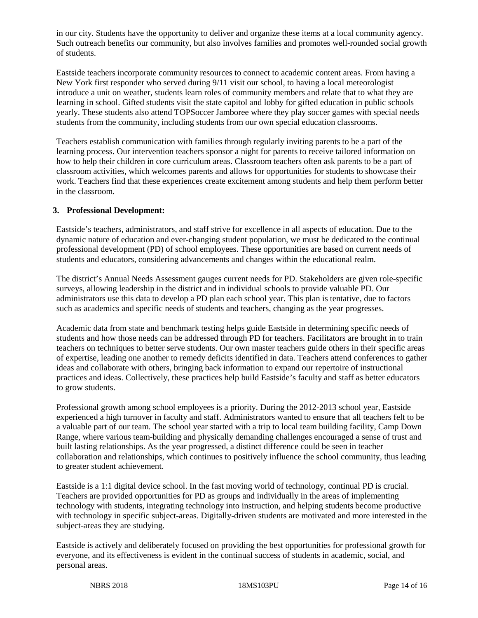in our city. Students have the opportunity to deliver and organize these items at a local community agency. Such outreach benefits our community, but also involves families and promotes well-rounded social growth of students.

Eastside teachers incorporate community resources to connect to academic content areas. From having a New York first responder who served during 9/11 visit our school, to having a local meteorologist introduce a unit on weather, students learn roles of community members and relate that to what they are learning in school. Gifted students visit the state capitol and lobby for gifted education in public schools yearly. These students also attend TOPSoccer Jamboree where they play soccer games with special needs students from the community, including students from our own special education classrooms.

Teachers establish communication with families through regularly inviting parents to be a part of the learning process. Our intervention teachers sponsor a night for parents to receive tailored information on how to help their children in core curriculum areas. Classroom teachers often ask parents to be a part of classroom activities, which welcomes parents and allows for opportunities for students to showcase their work. Teachers find that these experiences create excitement among students and help them perform better in the classroom.

#### **3. Professional Development:**

Eastside's teachers, administrators, and staff strive for excellence in all aspects of education. Due to the dynamic nature of education and ever-changing student population, we must be dedicated to the continual professional development (PD) of school employees. These opportunities are based on current needs of students and educators, considering advancements and changes within the educational realm.

The district's Annual Needs Assessment gauges current needs for PD. Stakeholders are given role-specific surveys, allowing leadership in the district and in individual schools to provide valuable PD. Our administrators use this data to develop a PD plan each school year. This plan is tentative, due to factors such as academics and specific needs of students and teachers, changing as the year progresses.

Academic data from state and benchmark testing helps guide Eastside in determining specific needs of students and how those needs can be addressed through PD for teachers. Facilitators are brought in to train teachers on techniques to better serve students. Our own master teachers guide others in their specific areas of expertise, leading one another to remedy deficits identified in data. Teachers attend conferences to gather ideas and collaborate with others, bringing back information to expand our repertoire of instructional practices and ideas. Collectively, these practices help build Eastside's faculty and staff as better educators to grow students.

Professional growth among school employees is a priority. During the 2012-2013 school year, Eastside experienced a high turnover in faculty and staff. Administrators wanted to ensure that all teachers felt to be a valuable part of our team. The school year started with a trip to local team building facility, Camp Down Range, where various team-building and physically demanding challenges encouraged a sense of trust and built lasting relationships. As the year progressed, a distinct difference could be seen in teacher collaboration and relationships, which continues to positively influence the school community, thus leading to greater student achievement.

Eastside is a 1:1 digital device school. In the fast moving world of technology, continual PD is crucial. Teachers are provided opportunities for PD as groups and individually in the areas of implementing technology with students, integrating technology into instruction, and helping students become productive with technology in specific subject-areas. Digitally-driven students are motivated and more interested in the subject-areas they are studying.

Eastside is actively and deliberately focused on providing the best opportunities for professional growth for everyone, and its effectiveness is evident in the continual success of students in academic, social, and personal areas.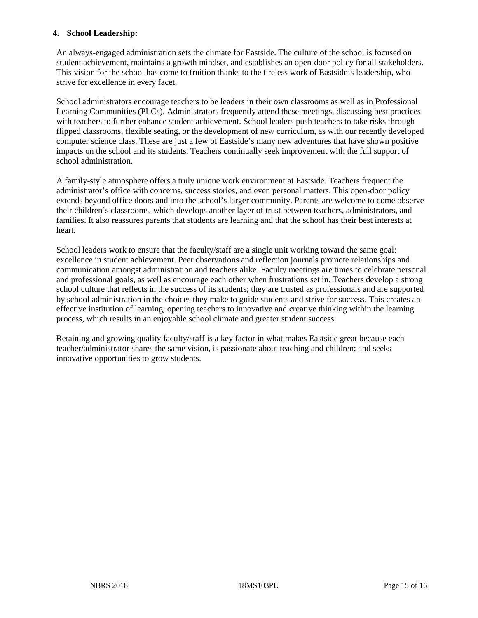## **4. School Leadership:**

An always-engaged administration sets the climate for Eastside. The culture of the school is focused on student achievement, maintains a growth mindset, and establishes an open-door policy for all stakeholders. This vision for the school has come to fruition thanks to the tireless work of Eastside's leadership, who strive for excellence in every facet.

School administrators encourage teachers to be leaders in their own classrooms as well as in Professional Learning Communities (PLCs). Administrators frequently attend these meetings, discussing best practices with teachers to further enhance student achievement. School leaders push teachers to take risks through flipped classrooms, flexible seating, or the development of new curriculum, as with our recently developed computer science class. These are just a few of Eastside's many new adventures that have shown positive impacts on the school and its students. Teachers continually seek improvement with the full support of school administration.

A family-style atmosphere offers a truly unique work environment at Eastside. Teachers frequent the administrator's office with concerns, success stories, and even personal matters. This open-door policy extends beyond office doors and into the school's larger community. Parents are welcome to come observe their children's classrooms, which develops another layer of trust between teachers, administrators, and families. It also reassures parents that students are learning and that the school has their best interests at heart.

School leaders work to ensure that the faculty/staff are a single unit working toward the same goal: excellence in student achievement. Peer observations and reflection journals promote relationships and communication amongst administration and teachers alike. Faculty meetings are times to celebrate personal and professional goals, as well as encourage each other when frustrations set in. Teachers develop a strong school culture that reflects in the success of its students; they are trusted as professionals and are supported by school administration in the choices they make to guide students and strive for success. This creates an effective institution of learning, opening teachers to innovative and creative thinking within the learning process, which results in an enjoyable school climate and greater student success.

Retaining and growing quality faculty/staff is a key factor in what makes Eastside great because each teacher/administrator shares the same vision, is passionate about teaching and children; and seeks innovative opportunities to grow students.